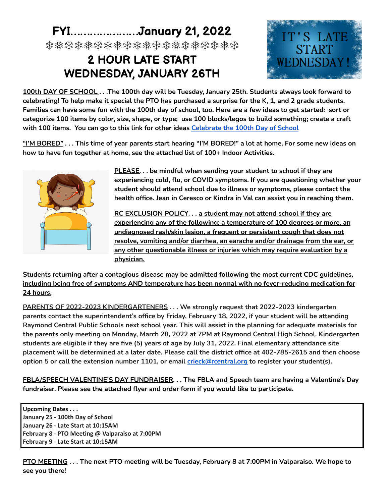## **FYI…………………January 21, 2022**

❄❅❆❄❅❆❄❅❆❄❅❆❄❅❄❅❆❄❅❆

## **2 HOUR LATE START WEDNESDAY, JANUARY 26TH**



100th DAY OF SCHOOL . . . The 100th day will be Tuesday, January 25th. Students always look forward to celebrating! To help make it special the PTO has purchased a surprise for the K, 1, and 2 grade students. Families can have some fun with the 100th day of school, too. Here are a few ideas to get started: sort or categorize 100 items by color, size, shape, or type; use 100 blocks/legos to build something; create a craft **with 100 items. You can go to this link for other ideas [Celebrate](https://www.kcedventures.com/blog/math-for-kids-count-to-100-celebrate-100-days-of-school) the 100th Day of School**

"I'M BORED" . . . This time of year parents start hearing "I'M BORED!" a lot at home. For some new ideas on **how to have fun together at home, see the attached list of 100+ Indoor Activities.**



**PLEASE. . . be mindful when sending your student to school if they are experiencing cold, flu, or COVID symptoms. If you are questioning whether your student should attend school due to illness or symptoms, please contact the health office. Jean in Ceresco or Kindra in Val can assist you in reaching them.**

**RC EXCLUSION POLICY. . . a student may not attend school if they are experiencing any of the following: a temperature of 100 degrees or more, an undiagnosed rash/skin lesion, a frequent or persistent cough that does not resolve, vomiting and/or diarrhea, an earache and/or drainage from the ear, or any other questionable illness or injuries which may require evaluation by a physician.**

**Students returning after a contagious disease may be admitted following the most current CDC guidelines, including being free of symptoms AND temperature has been normal with no fever-reducing medication for 24 hours.**

**PARENTS OF 2022-2023 KINDERGARTENERS . . . We strongly request that 2022-2023 kindergarten parents contact the superintendent's office by Friday, February 18, 2022, if your student will be attending** Raymond Central Public Schools next school year. This will assist in the planning for adequate materials for **the parents only meeting on Monday, March 28, 2022 at 7PM at Raymond Central High School. Kindergarten** students are eligible if they are five (5) years of age by July 31, 2022. Final elementary attendance site placement will be determined at a later date. Please call the district office at 402-785-2615 and then choose **option 5 or call the extension number 1101, or email crieck@rcentral.org to register your student(s).**

**FBLA/SPEECH VALENTINE'S DAY FUNDRAISER. . . The FBLA and Speech team are having a Valentine's Day fundraiser. Please see the attached flyer and order form if you would like to participate.**

**Upcoming Dates . . . January 25 - 100th Day of School January 26 - Late Start at 10:15AM February 8 - PTO Meeting @ Valparaiso at 7:00PM February 9 - Late Start at 10:15AM**

PTO MEETING . . . The next PTO meeting will be Tuesday, February 8 at 7:00PM in Valparaiso. We hope to **see you there!**